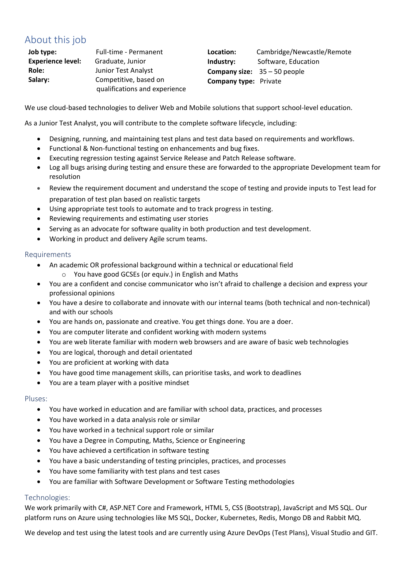## About this job

**Job type:** Full-time - Permanent **Experience level:** Graduate, Junior **Role:** Junior Test Analyst **Salary:** Competitive, based on qualifications and experience **Location:** Cambridge/Newcastle/Remote **Industry:** Software, Education **Company size:** 35 – 50 people **Company type:** Private

We use cloud-based technologies to deliver Web and Mobile solutions that support school-level education.

As a Junior Test Analyst, you will contribute to the complete software lifecycle, including:

- Designing, running, and maintaining test plans and test data based on requirements and workflows.
- Functional & Non-functional testing on enhancements and bug fixes.
- Executing regression testing against Service Release and Patch Release software.
- Log all bugs arising during testing and ensure these are forwarded to the appropriate Development team for resolution
- Review the requirement document and understand the scope of testing and provide inputs to Test lead for preparation of test plan based on realistic targets
- Using appropriate test tools to automate and to track progress in testing.
- Reviewing requirements and estimating user stories
- Serving as an advocate for software quality in both production and test development.
- Working in product and delivery Agile scrum teams.

#### Requirements

- An academic OR professional background within a technical or educational field You have good GCSEs (or equiv.) in English and Maths
- You are a confident and concise communicator who isn't afraid to challenge a decision and express your professional opinions
- You have a desire to collaborate and innovate with our internal teams (both technical and non-technical) and with our schools
- You are hands on, passionate and creative. You get things done. You are a doer.
- You are computer literate and confident working with modern systems
- You are web literate familiar with modern web browsers and are aware of basic web technologies
- You are logical, thorough and detail orientated
- You are proficient at working with data
- You have good time management skills, can prioritise tasks, and work to deadlines
- You are a team player with a positive mindset

#### Pluses:

- You have worked in education and are familiar with school data, practices, and processes
- You have worked in a data analysis role or similar
- You have worked in a technical support role or similar
- You have a Degree in Computing, Maths, Science or Engineering
- You have achieved a certification in software testing
- You have a basic understanding of testing principles, practices, and processes
- You have some familiarity with test plans and test cases
- You are familiar with Software Development or Software Testing methodologies

### Technologies:

We work primarily with C#, ASP.NET Core and Framework, HTML 5, CSS (Bootstrap), JavaScript and MS SQL. Our platform runs on Azure using technologies like MS SQL, Docker, Kubernetes, Redis, Mongo DB and Rabbit MQ.

We develop and test using the latest tools and are currently using Azure DevOps (Test Plans), Visual Studio and GIT.